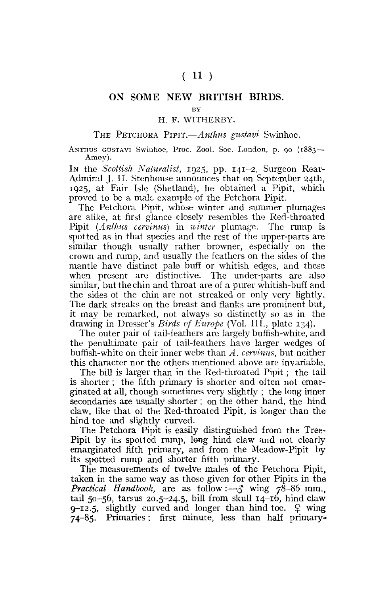# **ON SOME NEW BRITISH BIRDS.**

**BY** 

## H. F. WITHERBY.

### THE PETCHORA PIPIT.—*Anthus gustavi* Swinhoe.

ANTHUS GUSTAVI Swinhoe, Proc. Zool. Soc. London, p. 90 (1883— Amoy).

IN the *Scottish Naturalist,* 1925, pp. 141-2, Surgeon Rear-Admiral J. H. Stenhouse announces that on September 24th, 1925, at Fair Isle (Shetland), he obtained a Pipit, which proved to be a male example of the Petchora Pipit.

The Petchora Pipit, whose winter and summer plumages are alike, at first glance closely resembles the Red-throated Pipit *(Anthus cervinus)* in *winter* plumage. The rump is spotted as in that species and the rest of the upper-parts are similar though usually rather browner, especially on the crown and rump, and usually the feathers on the sides of the mantle have distinct pale buff or whitish edges, and these when present are distinctive. The under-parts are also similar, but the chin and throat are of a purer whitish-buff and the sides of the chin are not streaked or only very lightly. The dark streaks on the breast and flanks are prominent but, it may be remarked, not always so distinctly so as in the drawing in Dresser's *Birds of Europe* **(Vol.** III., plate 134).

The outer pair of tail-feathers are largely buffish-white, and the penultimate pair of tail-feathers have larger wedges of buffish-white on their inner webs than *A. cervinus,* but neither this character nor the others mentioned above are invariable.

The bill is larger than in the Red-throated Pipit; the tail is shorter ; the fifth primary is shorter and often not emarginated at all, though sometimes very slightly ; the long inner secondaries are usually shorter ; on the other hand, the hind claw, like that of the Red-throated Pipit, is longer than the hind toe and slightly curved.

The Petchora Pipit is easily distinguished from the Tree-Pipit by its spotted rump, long hind claw and not clearly emarginated fifth primary, and from the Meadow-Pipit by its spotted rump and shorter fifth primary.

The measurements of twelve males of the Petchora Pipit, taken in the same way as those given for other Pipits in the *Practical Handbook,* are as follow:—*\$* wing 78-86 mm., tail 50-56, tarsus 20.5-24.5, bill from skull  $14$ -16, hind claw  $9-12.5$ , slightly curved and longer than hind toe.  $\varphi$  wing 74-85. Primaries: first minute, less than half primary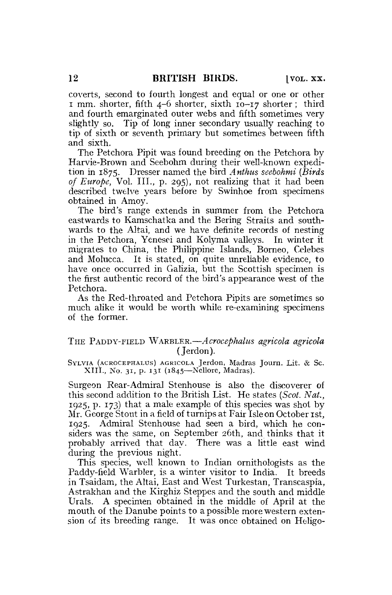coverts, second to fourth longest and equal or one or other I mm. shorter, fifth 4-6 shorter, sixth 10-17 shorter; third and fourth emarginated outer webs and fifth sometimes very slightly so. Tip of long inner secondary usually reaching to tip of sixth or seventh primary but sometimes between fifth and sixth.

The Petchora Pipit was found breeding on the Petchora by Harvie-Brown and Seebohm during their well-known expedition in 1875. Dresser named the bird *Antkus seebohmi (Birds of Europe,* Vol. III., p. 295), not realizing that it had been described twelve years before by Swinhoe from specimens obtained in Amoy.

The bird's range extends in summer from the Petchora eastwards to Kamschatka and the Bering Straits and southwards to the Altai, and we have definite records of nesting in the Petchora, Yenesei and Kolyma valleys. In winter it migrates to China, the Philippine Islands, Borneo, Celebes and Molucca. It is stated, on quite unreliable evidence, to have once occurred in Galizia, but the Scottish specimen is the first authentic record of the bird's appearance west of the Petchora.

As the Red-throated and Petchora Pipits are sometimes so much alike it would be worth while re-examining specimens of the former.

## THE PADDY-FIELD WARBLER.— *Acrocephalus agricola agricola*  (Jerdon).

SYLVIA (ACROCEPHALUS) AGRICOLA Jerdon, Madras Journ. lit. & Sc. XIII., No. 31, p. 131 (1845—Nellore, Madras).

Surgeon Rear-Admiral Stenhouse is also the discoverer of this second addition to the British List. He states *(Scot. Nat.,*  1925, p. 173) that a male example of this species was shot by Mr. George Stout in a field of turnips at Fair Isle on October 1st, 1925. Admiral Stenhouse had seen a bird, which he considers was the same, on September 26th, and thinks that it probably arrived that day. There was a little east wind during the previous night.

This species, well known to Indian ornithologists as the Paddy-field Warbler, is a winter visitor to India. It breeds in Tsaidam, the Altai, East and West Turkestan, Transcaspia, Astrakhan and the Kirghiz Steppes and the south and middle Urals. A specimen obtained in the middle of April at the mouth of the Danube points to a possible more western extension of its breeding range. It was once obtained on Heligo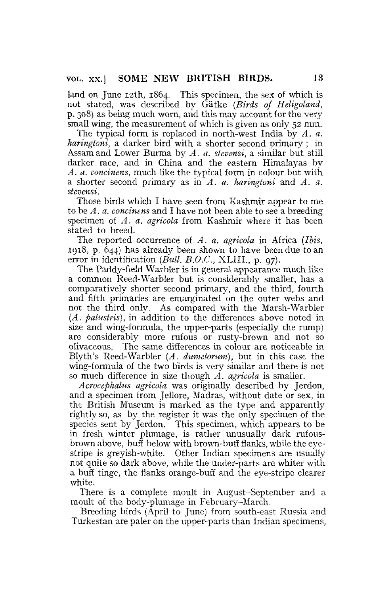land on June 12th, 1864. This specimen, the sex of which is not stated, was described by Gatke *{Birds of Heligoland,*  p. 308) as being much worn, and this may account for the very small wing, the measurement of which is given as only 52 mm.

The typical form is replaced in north-west India by *A. a. haringtoni,* a darker bird with a shorter second primary ; in Assam and Lower Burma by *A. a. stevensi,* a similar but still darker race, and in China and the eastern Himalayas by *A. a. concinens,* much like the typical form in colour but with a shorter second primary as in *A. a. haringtoni* and *A. a. stevensi.* 

Those birds which I have seen from Kashmir appear to me to be *A. a, concinens* and I have not been able to see a breeding specimen of *A. a. agricola* from Kashmir where it has been stated to breed.

The reported occurrence of *A. a. agricola* in Africa *(Ibis,*  1918, p. 644) has already been shown to have been due to an error in identification *(Bull. B.O.C.,* XLIIL, p. 97).

The Paddy-field Warbler is in general appearance much like a common Reed-Warbler but is considerably smaller, has a comparatively shorter second primary, and the third, fourth and fifth primaries are emarginated on the outer webs and not the third only. As compared with the Marsh-Warbler *(A. palusiris),* in addition to the differences above noted in size and wing-formula, the upper-parts (especially the rump) are considerably more rufous or rusty-brown and not so olivaceous. The same differences in colour are noticeable in **Blyth's** Reed-Warbler *(A. dumeforum),* but in this case the wing-formula of the two birds is very similar and there is not so much difference in size though *A. agricola* is smaller.

*Acrocephalus agricola* was originally described by Jerdon, and a specimen from Jellore, Madras, without date or sex, in the British Museum is marked as the type and apparently rightly so, as by the register it was the only specimen of the species sent by Jerdon. This specimen, which appears to be in fresh winter plumage, is rather unusually dark rufousbrown above, buff below with brown-buff flanks, while the eyestripe is greyish-white. Other Indian specimens are usually not quite so dark above, while the under-parts are whiter with a buff tinge, the flanks orange-buff and the eye-stripe clearer white.

There is a complete moult in August-September and a moult of the body-plumage in February-March.

Breeding birds (April to June) from south-east Russia and Turkestan are paler on the upper-parts than Indian specimens,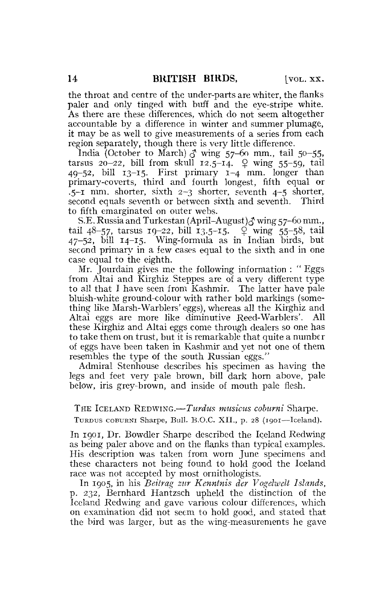the throat and centre of the under-parts are whiter, the flanks paler and only tinged with buff and the eye-stripe white. As there are these differences, which do not seem altogether accountable by a difference in winter and summer plumage, it may be as well to give measurements of a series from each region separately, though there is very little difference.

India (October to March)  $\delta$  wing 57-60 mm., tail 50-55, tarsus 20-22, bill from skull 12.5-14.  $\varphi$  wing 55-59, tail  $49-52$ , bill  $13-15$ . First primary  $1-4$  mm. longer than primary-coverts, third and fourth longest, fifth equal or  $-5$ -I mm, shorter, sixth  $2-3$  shorter, seventh  $4-5$  shorter, second equals seventh or between sixth and seventh. Third to fifth emarginated on outer webs.

S.E. Russia and Turkestan (April–August) $\delta$  wing 57-60 mm., tail 48-57, tarsus 19-22, bill 13.5-15.  $\frac{9}{7}$  wing 55-58, tail  $47-52$ , bill  $14-15$ . Wing-formula as in Indian birds, but second primary in a few eases equal to the sixth and in one case equal to the eighth.

Mr. Jourdain gives me the following information : "Eggs from Altai and Kirghiz Steppes are of a very different type to all that 1 have seen from Kashmir. The latter have pale bluish-white ground-colour with rather bold markings (something like Marsh-Warblers' eggs), whereas all the Kirghiz and Altai eggs are more like diminutive Reed-Warblers'. All these Kirghiz and Altai eggs come through dealers so one has to take them on trust, but it is remarkable that quite a number of eggs have been taken in Kashmir and yet not one of them resembles the type of the south Russian eggs."

Admiral Stenhouse describes his specimen as having the legs and feet very pale brown, bill dark horn above, pale below, iris grey-brown, and inside of mouth pale flesh.

#### THE ICELAND REDWING.—*Turdus musicus coburni* Sharpe.

TURDUS COBWRNI Sharpe, Bull. B.O.C. XII., p. 28 (1901—Iceland).

In 1901, Dr. Bowdler Sharpe described the Iceland Redwing as being paler above and on the flanks than typical examples. His description was taken from worn June specimens and these characters not being found to hold good the Iceland race was not accepted by most ornithologists.

In 1905, in his *Beitrag zur Kenntnis der Vogelwdt Islands,*  p. 232, Bernhard Hantzsch upheld the distinction of the Iceland Redwing and gave various colour differences, which on examination did not seem to hold good, and stated that the bird was larger, but as the wing-measurements he gave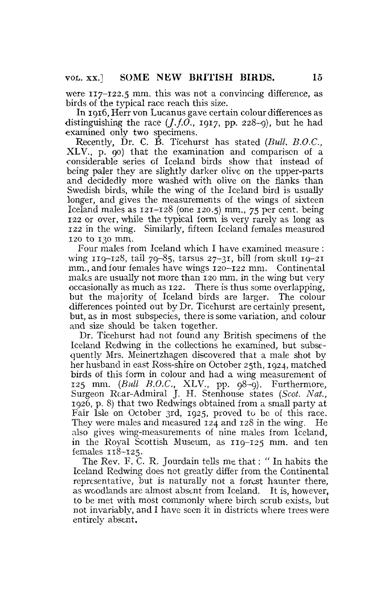were 117-122.5 mm. this was not a convincing difference, as birds of the typical race reach this size.

In 1916, Herr von Lucanus gave certain colour differences as distinguishing the race  $(I.f.O., 1917, pp. 228-9)$ , but he had examined only two specimens.

Recently, Dr. C. B. Ticehurst has stated *(Bull. B.O.C.,*  XLV., p. 90) that the examination and comparison of a considerable series of Iceland birds show that instead of being paler they are slightly darker olive on the upper-parts and decidedly more washed with olive on the flanks than Swedish birds, while the wing of the Iceland bird is usually longer, and gives the measurements of the wings of sixteen Iceland males as 121-128 (one 120.5) mm., 75 per cent, being 122 or over, while the typical form is very rarely as long as 122 in the wing. Similarly, fifteen Iceland females measured 120 to 130 mm.

Four males from Iceland which I have examined measure : wing 119-128, tail 79-85, tarsus 27-31, bill from skull  $19-21$ mm., and four females have wings 120-122 mm. Continental males are usually not more than 120 mm. in the wing but very occasionally as much as 122. There is thus some overlapping, but the majority of Iceland birds are larger. The colour differences pointed out by Dr. Ticehurst are certainly present, but, as in most subspecies, there is some variation, and colour and size should be taken together.

Dr. Ticehurst had not found any British specimens of the Iceland Redwing in the collections he examined, but subsequently Mrs. Meinertzhagen discovered that a male shot by her husband in east Ross-shire on October 25th, 1924, matched birds of this form in colour and had a wing measurement of 125 mm. *(Bull B.O.C.,* XLV., pp. 98-9). Furthermore, Surgeon Rcar-Admiral J. H. Stenhouse states *(Scot. Nat.,*  1926, p. 8) that two Redwings obtained from a small party at Fair Isle on October 3rd, 1925, proved to be of this race. They were males and measured 124 and 128 in the wing. He also gives wing-measurements of nine males from Iceland, in the Royal Scottish Museum, as 119-125 mm. and ten females 118-125.

The Rev. F. C. R. Jourdain tells me that: " In habits the Iceland Redwing does not greatly differ from the Continental representative, but is naturally not a forest haunter there, as woodlands are almost absent from Iceland. It is, however, to be met with most commonly where birch scrub exists, but not invariably, and I have seen it in districts where trees were entirelv absent.